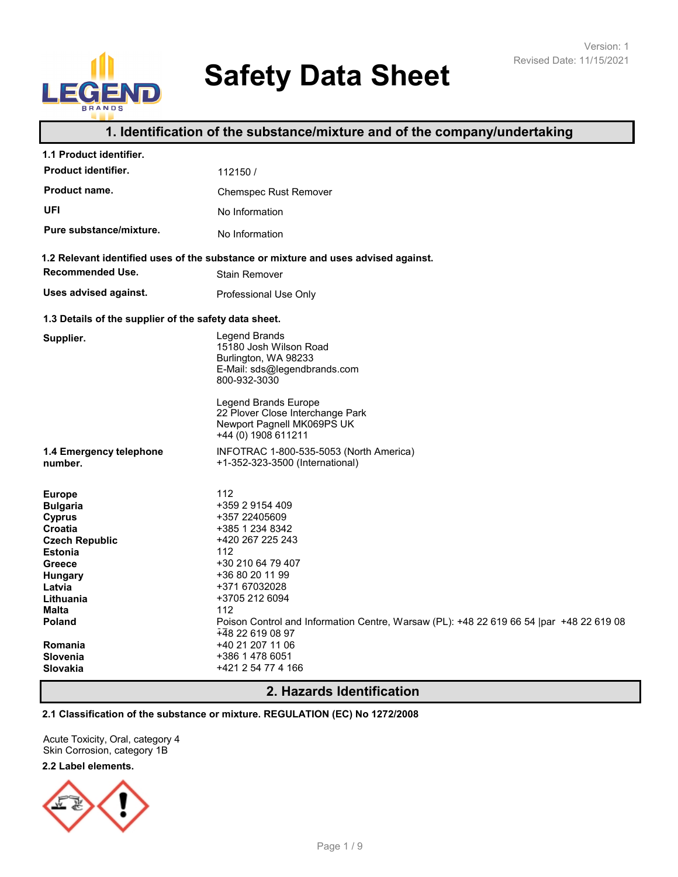# **Safety Data Sheet**

# **1. Identification of the substance/mixture and of the company/undertaking**

| 1.1 Product identifier.                                                                                                                                                                                            |                                                                                                                                                                                                                                                                                                                                            |
|--------------------------------------------------------------------------------------------------------------------------------------------------------------------------------------------------------------------|--------------------------------------------------------------------------------------------------------------------------------------------------------------------------------------------------------------------------------------------------------------------------------------------------------------------------------------------|
| Product identifier.                                                                                                                                                                                                | 112150/                                                                                                                                                                                                                                                                                                                                    |
| Product name.                                                                                                                                                                                                      | <b>Chemspec Rust Remover</b>                                                                                                                                                                                                                                                                                                               |
| UFI                                                                                                                                                                                                                | No Information                                                                                                                                                                                                                                                                                                                             |
| Pure substance/mixture.                                                                                                                                                                                            | No Information                                                                                                                                                                                                                                                                                                                             |
|                                                                                                                                                                                                                    | 1.2 Relevant identified uses of the substance or mixture and uses advised against.                                                                                                                                                                                                                                                         |
| Recommended Use.                                                                                                                                                                                                   | <b>Stain Remover</b>                                                                                                                                                                                                                                                                                                                       |
| Uses advised against.                                                                                                                                                                                              | Professional Use Only                                                                                                                                                                                                                                                                                                                      |
| 1.3 Details of the supplier of the safety data sheet.                                                                                                                                                              |                                                                                                                                                                                                                                                                                                                                            |
| Supplier.                                                                                                                                                                                                          | Legend Brands<br>15180 Josh Wilson Road<br>Burlington, WA 98233<br>E-Mail: sds@legendbrands.com<br>800-932-3030<br><b>Legend Brands Europe</b><br>22 Plover Close Interchange Park<br>Newport Pagnell MK069PS UK<br>+44 (0) 1908 611211                                                                                                    |
| 1.4 Emergency telephone<br>number.                                                                                                                                                                                 | INFOTRAC 1-800-535-5053 (North America)<br>+1-352-323-3500 (International)                                                                                                                                                                                                                                                                 |
| <b>Europe</b><br><b>Bulgaria</b><br><b>Cyprus</b><br>Croatia<br><b>Czech Republic</b><br><b>Estonia</b><br>Greece<br><b>Hungary</b><br>Latvia<br>Lithuania<br><b>Malta</b><br><b>Poland</b><br>Romania<br>Slovenia | 112<br>+359 2 9154 409<br>+357 22405609<br>+385 1 234 8342<br>+420 267 225 243<br>112<br>+30 210 64 79 407<br>+36 80 20 11 99<br>+371 67032028<br>+3705 212 6094<br>112<br>Poison Control and Information Centre, Warsaw (PL): +48 22 619 66 54  par +48 22 619 08<br>$\overline{+48}$ 22 619 08 97<br>+40 21 207 11 06<br>+386 1 478 6051 |
| <b>Slovakia</b>                                                                                                                                                                                                    | +421 2 54 77 4 166                                                                                                                                                                                                                                                                                                                         |

# **2. Hazards Identification**

#### **2.1 Classification of the substance or mixture. REGULATION (EC) No 1272/2008**

Acute Toxicity, Oral, category 4 Skin Corrosion, category 1B

#### **2.2 Label elements.**

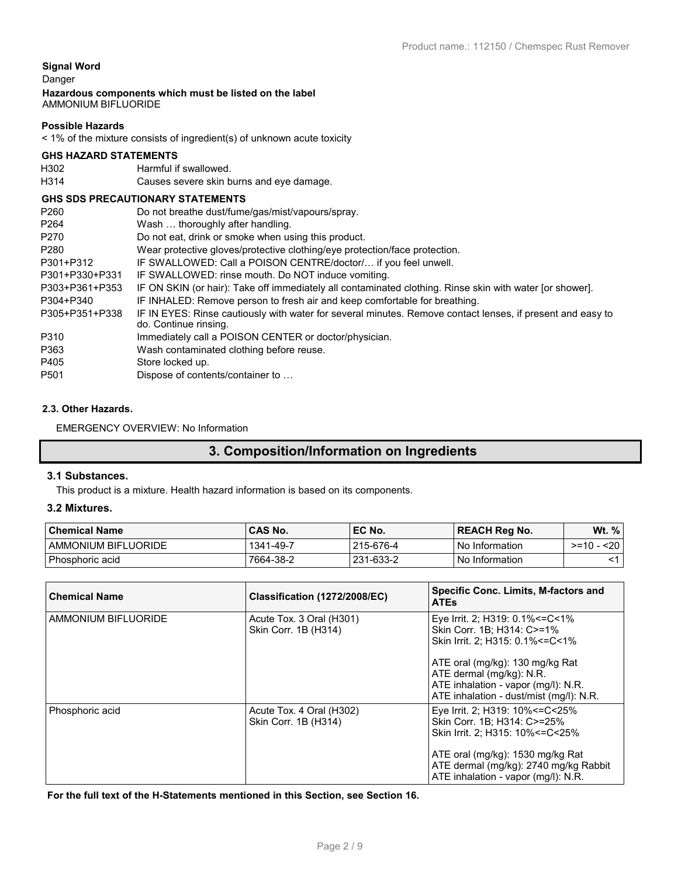#### **Signal Word**

Danger

#### **Hazardous components which must be listed on the label** AMMONIUM BIFLUORIDE

#### **Possible Hazards**

< 1% of the mixture consists of ingredient(s) of unknown acute toxicity

#### **GHS HAZARD STATEMENTS**

H302 Harmful if swallowed. H314 Causes severe skin burns and eye damage.

#### **GHS SDS PRECAUTIONARY STATEMENTS**

|                  | <u>GIIO ODO FINEVAUTIONAINT OTATEMENTO</u>                                                                                          |
|------------------|-------------------------------------------------------------------------------------------------------------------------------------|
| P <sub>260</sub> | Do not breathe dust/fume/gas/mist/vapours/spray.                                                                                    |
| P <sub>264</sub> | Wash  thoroughly after handling.                                                                                                    |
| P <sub>270</sub> | Do not eat, drink or smoke when using this product.                                                                                 |
| P280             | Wear protective gloves/protective clothing/eye protection/face protection.                                                          |
| P301+P312        | IF SWALLOWED: Call a POISON CENTRE/doctor/ if you feel unwell.                                                                      |
| P301+P330+P331   | IF SWALLOWED: rinse mouth. Do NOT induce vomiting.                                                                                  |
| P303+P361+P353   | IF ON SKIN (or hair): Take off immediately all contaminated clothing. Rinse skin with water [or shower].                            |
| P304+P340        | IF INHALED: Remove person to fresh air and keep comfortable for breathing.                                                          |
| P305+P351+P338   | IF IN EYES: Rinse cautiously with water for several minutes. Remove contact lenses, if present and easy to<br>do. Continue rinsing. |
| P310             | Immediately call a POISON CENTER or doctor/physician.                                                                               |
| P363             | Wash contaminated clothing before reuse.                                                                                            |
| P405             | Store locked up.                                                                                                                    |
| P <sub>501</sub> | Dispose of contents/container to                                                                                                    |
|                  |                                                                                                                                     |

#### **2.3. Other Hazards.**

EMERGENCY OVERVIEW: No Information

# **3. Composition/Information on Ingredients**

#### **3.1 Substances.**

This product is a mixture. Health hazard information is based on its components.

#### **3.2 Mixtures.**

| <b>Chemical Name</b> | CAS No.   | $\mathsf{F}$ EC No. | <b>REACH Reg No.</b> | Wt. $\%$   |
|----------------------|-----------|---------------------|----------------------|------------|
| AMMONIUM BIFLUORIDE  | 1341-49-7 | 215-676-4           | No Information       | >=10 - <20 |
| Phosphoric acid      | 7664-38-2 | 231-633-2           | No Information       |            |

| <b>Chemical Name</b> | Classification (1272/2008/EC)                    | <b>Specific Conc. Limits, M-factors and</b><br><b>ATEs</b>                                                                                                                                                                 |
|----------------------|--------------------------------------------------|----------------------------------------------------------------------------------------------------------------------------------------------------------------------------------------------------------------------------|
| AMMONIUM BIFLUORIDE  | Acute Tox. 3 Oral (H301)<br>Skin Corr. 1B (H314) | Eye Irrit. 2; H319: 0.1% <= C < 1%<br>Skin Corr. 1B; H314: C>=1%<br>Skin Irrit. 2: H315: 0.1% <= C<1%                                                                                                                      |
|                      |                                                  | ATE oral (mg/kg): 130 mg/kg Rat<br>ATE dermal (mg/kg): N.R.<br>ATE inhalation - vapor (mg/l): N.R.<br>ATE inhalation - dust/mist (mg/l): N.R.                                                                              |
| Phosphoric acid      | Acute Tox. 4 Oral (H302)<br>Skin Corr. 1B (H314) | Eye Irrit. 2; H319: 10% <= C< 25%<br>Skin Corr. 1B; H314: C>=25%<br>Skin Irrit. 2: H315: 10% <= C< 25%<br>ATE oral (mg/kg): 1530 mg/kg Rat<br>ATE dermal (mg/kg): 2740 mg/kg Rabbit<br>ATE inhalation - vapor (mg/l): N.R. |

**For the full text of the H-Statements mentioned in this Section, see Section 16.**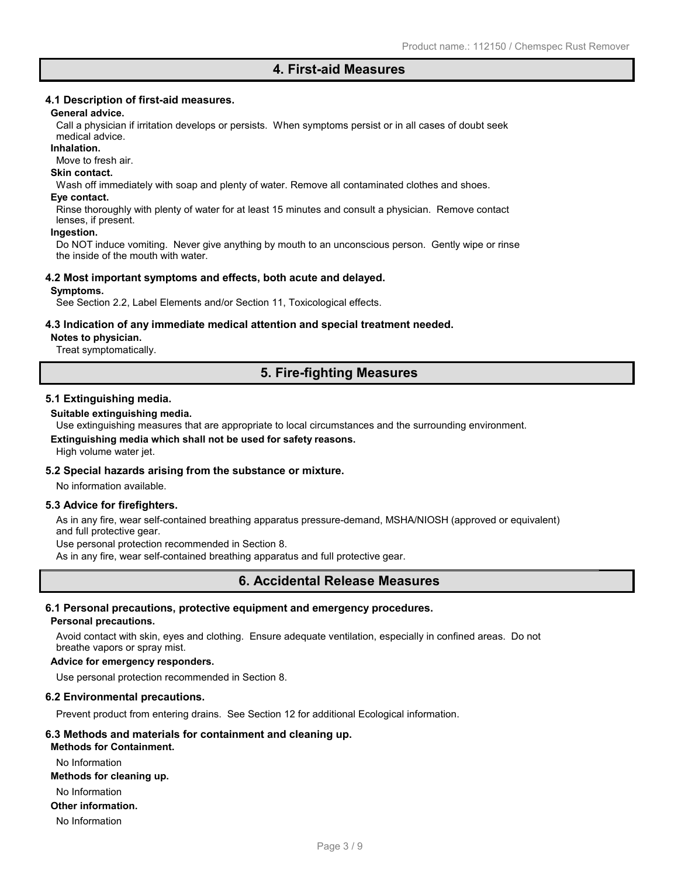# **4. First-aid Measures**

#### **4.1 Description of first-aid measures.**

#### **General advice.**

Call a physician if irritation develops or persists. When symptoms persist or in all cases of doubt seek medical advice.

#### **Inhalation.**

Move to fresh air.

#### **Skin contact.**

Wash off immediately with soap and plenty of water. Remove all contaminated clothes and shoes.

#### **Eye contact.**

Rinse thoroughly with plenty of water for at least 15 minutes and consult a physician. Remove contact lenses, if present.

#### **Ingestion.**

Do NOT induce vomiting. Never give anything by mouth to an unconscious person. Gently wipe or rinse the inside of the mouth with water.

#### **4.2 Most important symptoms and effects, both acute and delayed.**

#### **Symptoms.**

See Section 2.2, Label Elements and/or Section 11, Toxicological effects.

#### **4.3 Indication of any immediate medical attention and special treatment needed.**

#### **Notes to physician.**

Treat symptomatically.

# **5. Fire-fighting Measures**

#### **5.1 Extinguishing media.**

#### **Suitable extinguishing media.**

Use extinguishing measures that are appropriate to local circumstances and the surrounding environment.

**Extinguishing media which shall not be used for safety reasons.**

High volume water jet.

#### **5.2 Special hazards arising from the substance or mixture.**

No information available.

#### **5.3 Advice for firefighters.**

As in any fire, wear self-contained breathing apparatus pressure-demand, MSHA/NIOSH (approved or equivalent) and full protective gear.

Use personal protection recommended in Section 8.

As in any fire, wear self-contained breathing apparatus and full protective gear.

# **6. Accidental Release Measures**

# **6.1 Personal precautions, protective equipment and emergency procedures.**

#### **Personal precautions.**

Avoid contact with skin, eyes and clothing. Ensure adequate ventilation, especially in confined areas. Do not breathe vapors or spray mist.

#### **Advice for emergency responders.**

Use personal protection recommended in Section 8.

#### **6.2 Environmental precautions.**

Prevent product from entering drains. See Section 12 for additional Ecological information.

#### **6.3 Methods and materials for containment and cleaning up.**

**Methods for Containment.** No Information

#### **Methods for cleaning up.**

No Information

#### **Other information.**

No Information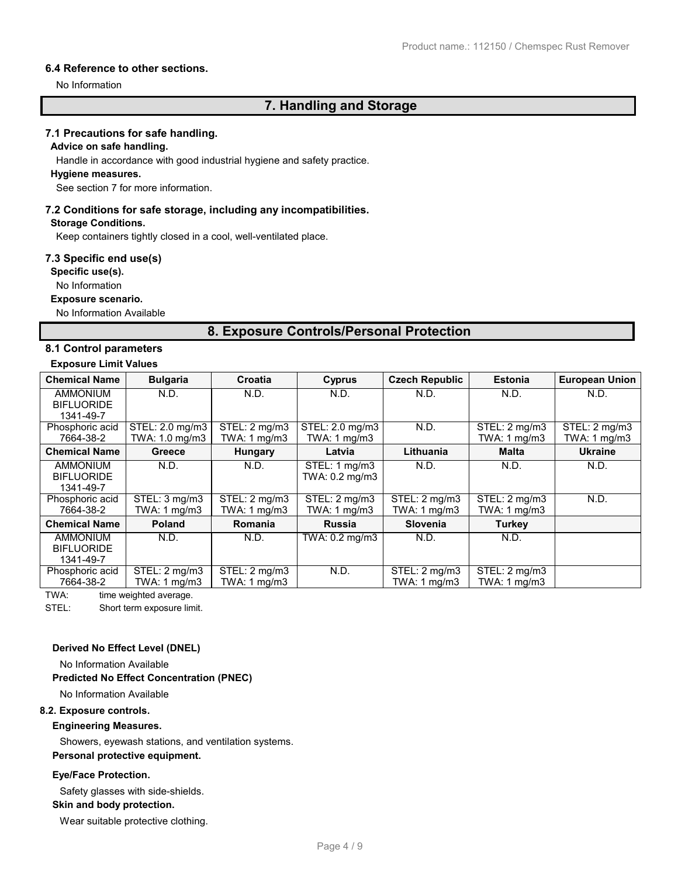#### **6.4 Reference to other sections.**

No Information

# **7. Handling and Storage**

#### **7.1 Precautions for safe handling.**

#### **Advice on safe handling.**

Handle in accordance with good industrial hygiene and safety practice.

#### **Hygiene measures.**

See section 7 for more information.

#### **7.2 Conditions for safe storage, including any incompatibilities.**

#### **Storage Conditions.**

Keep containers tightly closed in a cool, well-ventilated place.

#### **7.3 Specific end use(s)**

**Specific use(s).**

#### No Information

#### **Exposure scenario.**

No Information Available

# **8. Exposure Controls/Personal Protection**

#### **8.1 Control parameters**

#### **Exposure Limit Values**

| <b>Chemical Name</b>           | <b>Bulgaria</b>         | Croatia                 | Cyprus                  | <b>Czech Republic</b> | <b>Estonia</b>          | <b>European Union</b> |
|--------------------------------|-------------------------|-------------------------|-------------------------|-----------------------|-------------------------|-----------------------|
| <b>AMMONIUM</b>                | N.D.                    | N.D.                    | N.D.                    | N.D.                  | N.D.                    | N.D.                  |
| <b>BIFLUORIDE</b><br>1341-49-7 |                         |                         |                         |                       |                         |                       |
| Phosphoric acid                | STEL: 2.0 mg/m3         | STEL: 2 mg/m3           | STEL: 2.0 mg/m3         | N.D.                  | STEL: 2 mg/m3           | STEL: 2 mg/m3         |
| 7664-38-2                      | TWA: 1.0 mg/m3          | TWA: 1 mg/m3            | TWA: $1 \text{ mg/m}$ 3 |                       | TWA: $1 \text{ mg/m}$ 3 | TWA: 1 mg/m3          |
| <b>Chemical Name</b>           | <b>Greece</b>           | Hungary                 | Latvia                  | Lithuania             | Malta                   | <b>Ukraine</b>        |
| <b>AMMONIUM</b>                | N.D.                    | N.D.                    | STEL: 1 mg/m3           | N.D.                  | N.D.                    | N.D.                  |
| <b>BIFLUORIDE</b>              |                         |                         | TWA: 0.2 mg/m3          |                       |                         |                       |
| 1341-49-7                      |                         |                         |                         |                       |                         |                       |
| Phosphoric acid                | STEL: 3 mg/m3           | STEL: 2 mg/m3           | STEL: 2 mg/m3           | STEL: 2 mg/m3         | STEL: 2 mg/m3           | N.D.                  |
| 7664-38-2                      | TWA: $1 \text{ mg/m}$ 3 | TWA: $1 \text{ mg/m}$ 3 | TWA: $1 \text{ mg/m}$ 3 | TWA: 1 mg/m3          | TWA: 1 mg/m3            |                       |
| <b>Chemical Name</b>           | <b>Poland</b>           | <b>Romania</b>          | <b>Russia</b>           | <b>Slovenia</b>       | <b>Turkey</b>           |                       |
| <b>AMMONIUM</b>                | N.D.                    | N.D.                    | TWA: 0.2 mg/m3          | N.D.                  | N.D.                    |                       |
| <b>BIFLUORIDE</b>              |                         |                         |                         |                       |                         |                       |
| 1341-49-7                      |                         |                         |                         |                       |                         |                       |
| Phosphoric acid                | STEL: 2 mg/m3           | STEL: 2 mg/m3           | N.D.                    | STEL: 2 mg/m3         | STEL: 2 mg/m3           |                       |
| 7664-38-2                      | TWA: $1 \text{ mg/m}$ 3 | TWA: 1 mg/m3            |                         | TWA: 1 mg/m3          | TWA: 1 mg/m3            |                       |

TWA: time weighted average.

STEL: Short term exposure limit.

#### **Derived No Effect Level (DNEL)**

No Information Available

#### **Predicted No Effect Concentration (PNEC)**

No Information Available

#### **8.2. Exposure controls.**

#### **Engineering Measures.**

Showers, eyewash stations, and ventilation systems. **Personal protective equipment.**

#### **Eye/Face Protection.**

Safety glasses with side-shields.

#### **Skin and body protection.**

Wear suitable protective clothing.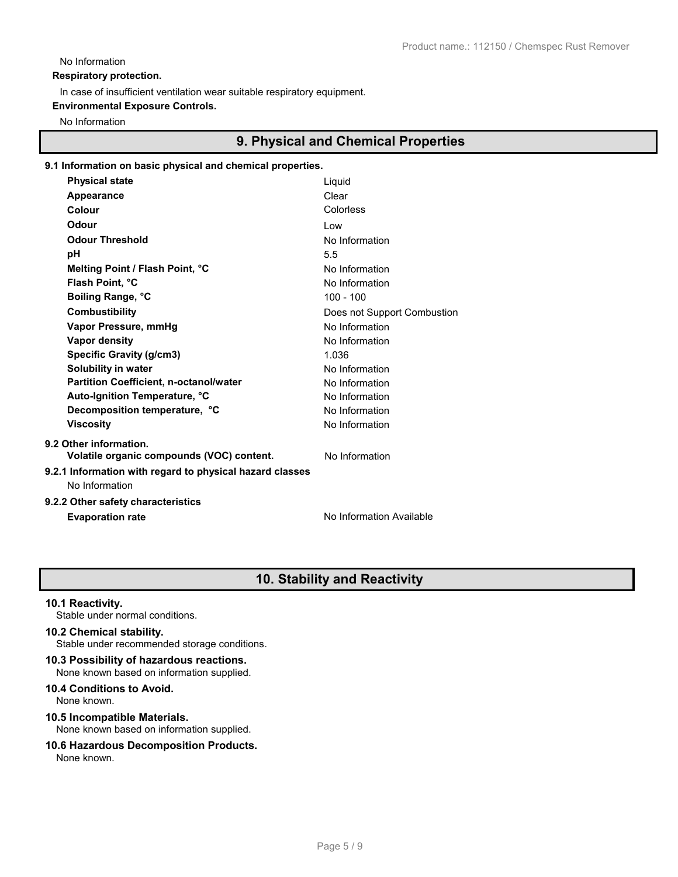### No Information

**Respiratory protection.**

In case of insufficient ventilation wear suitable respiratory equipment.

#### **Environmental Exposure Controls.**

No Information

# **9. Physical and Chemical Properties**

#### **9.1 Information on basic physical and chemical properties.**

| <b>Physical state</b>                                                      | Liquid                      |
|----------------------------------------------------------------------------|-----------------------------|
| Appearance                                                                 | Clear                       |
| Colour                                                                     | Colorless                   |
| Odour                                                                      | I ow                        |
| <b>Odour Threshold</b>                                                     | No Information              |
| рH                                                                         | 5.5                         |
| Melting Point / Flash Point, °C                                            | No Information              |
| Flash Point, °C                                                            | No Information              |
| Boiling Range, °C                                                          | $100 - 100$                 |
| <b>Combustibility</b>                                                      | Does not Support Combustion |
| Vapor Pressure, mmHg                                                       | No Information              |
| <b>Vapor density</b>                                                       | No Information              |
| <b>Specific Gravity (g/cm3)</b>                                            | 1.036                       |
| Solubility in water                                                        | No Information              |
| <b>Partition Coefficient, n-octanol/water</b>                              | No Information              |
| Auto-Ignition Temperature, °C                                              | No Information              |
| Decomposition temperature, °C                                              | No Information              |
| <b>Viscosity</b>                                                           | No Information              |
| 9.2 Other information.                                                     |                             |
| Volatile organic compounds (VOC) content.                                  | No Information              |
| 9.2.1 Information with regard to physical hazard classes<br>No Information |                             |
| 9.2.2 Other safety characteristics                                         |                             |
| <b>Evaporation rate</b>                                                    | No Information Available    |
|                                                                            |                             |

# **10. Stability and Reactivity**

#### **10.1 Reactivity.**

Stable under normal conditions.

#### **10.2 Chemical stability.**

Stable under recommended storage conditions.

#### **10.3 Possibility of hazardous reactions.** None known based on information supplied.

# **10.4 Conditions to Avoid.**

None known.

# **10.5 Incompatible Materials.**

# None known based on information supplied.

# **10.6 Hazardous Decomposition Products.**

None known.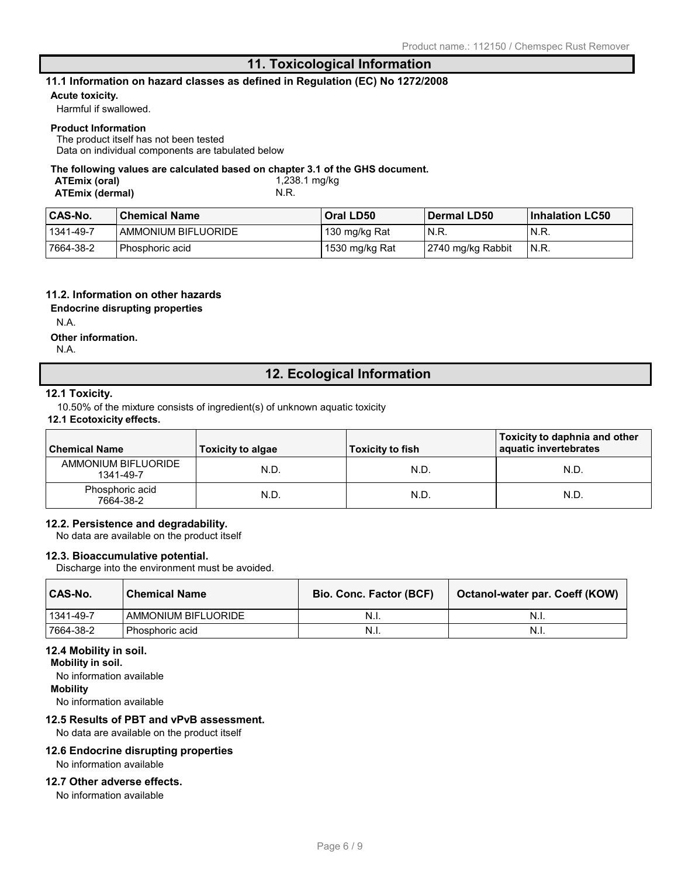# **11. Toxicological Information**

#### **11.1 Information on hazard classes as defined in Regulation (EC) No 1272/2008**

#### **Acute toxicity.**

Harmful if swallowed.

#### **Product Information**

The product itself has not been tested

Data on individual components are tabulated below

#### **The following values are calculated based on chapter 3.1 of the GHS document.**

| ATEmix (oral)          | 1,238.1 mg/kg |
|------------------------|---------------|
| <b>ATEmix (dermal)</b> | N.R.          |

| <b>CAS-No.</b> | <b>Chemical Name</b>  | Oral LD50      | <b>Dermal LD50</b> | <b>Inhalation LC50</b> |
|----------------|-----------------------|----------------|--------------------|------------------------|
| 1341-49-7      | ' AMMONIUM BIFLUORIDE | 130 mg/kg Rat  | N.R.               | $'$ N.R.               |
| 7664-38-2      | Phosphoric acid       | 1530 mg/kg Rat | 2740 mg/kg Rabbit  | 'N.R.                  |

#### **11.2. Information on other hazards**

**Endocrine disrupting properties**

N.A.

#### **Other information.**

N.A.

# **12. Ecological Information**

#### **12.1 Toxicity.**

10.50% of the mixture consists of ingredient(s) of unknown aquatic toxicity

### **12.1 Ecotoxicity effects.**

| <b>Chemical Name</b>             | Toxicity to algae | <b>Toxicity to fish</b> | Toxicity to daphnia and other<br>aquatic invertebrates |
|----------------------------------|-------------------|-------------------------|--------------------------------------------------------|
| AMMONIUM BIFLUORIDE<br>1341-49-7 | N.D.              | N.D.                    | N.D.                                                   |
| Phosphoric acid<br>7664-38-2     | N.D.              | N.D.                    | N.D                                                    |

#### **12.2. Persistence and degradability.**

No data are available on the product itself

#### **12.3. Bioaccumulative potential.**

Discharge into the environment must be avoided.

| CAS-No.   | <b>Chemical Name</b> | <b>Bio. Conc. Factor (BCF)</b> | Octanol-water par. Coeff (KOW) |
|-----------|----------------------|--------------------------------|--------------------------------|
| 1341-49-7 | AMMONIUM BIFLUORIDE  | -N.I.                          | -N.I.                          |
| 7664-38-2 | ' Phosphoric acid    | -N.I.                          | N.I.                           |

#### **12.4 Mobility in soil.**

**Mobility in soil.**

No information available

### **Mobility**

No information available

#### **12.5 Results of PBT and vPvB assessment.**

No data are available on the product itself

#### **12.6 Endocrine disrupting properties** No information available

#### **12.7 Other adverse effects.**

No information available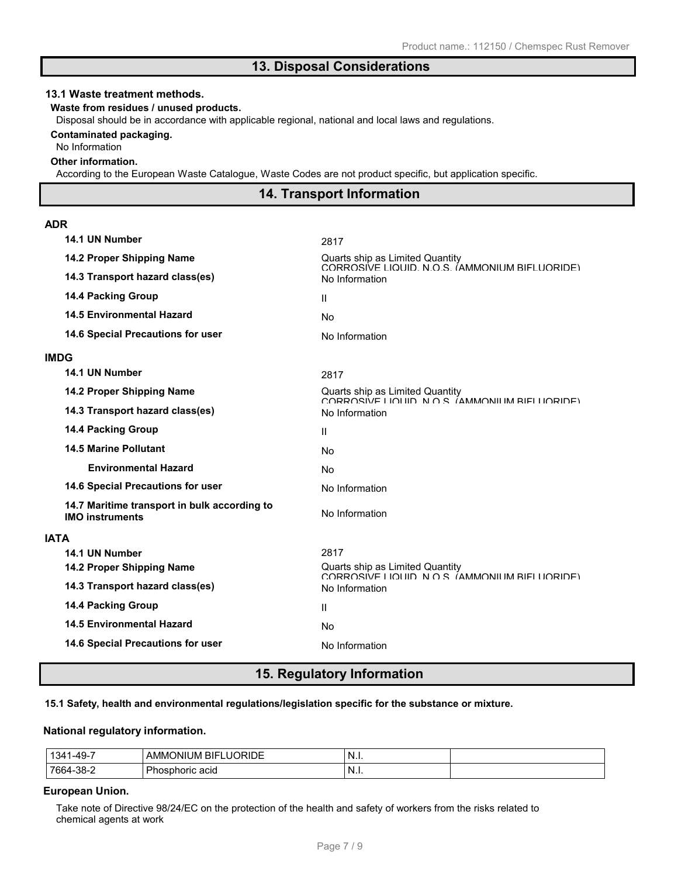# **13. Disposal Considerations**

#### **13.1 Waste treatment methods.**

#### **Waste from residues / unused products.**

Disposal should be in accordance with applicable regional, national and local laws and regulations.

#### **Contaminated packaging.**

No Information

#### **Other information.**

According to the European Waste Catalogue, Waste Codes are not product specific, but application specific.

# **14. Transport Information**

#### **ADR**

| 14.1 UN Number                                                         | 2817                                                                              |
|------------------------------------------------------------------------|-----------------------------------------------------------------------------------|
| 14.2 Proper Shipping Name                                              | Quarts ship as Limited Quantity<br>CORROSIVE LIQUID N O.S. (AMMONIUM BIFLUORIDE)  |
| 14.3 Transport hazard class(es)                                        | No Information                                                                    |
| <b>14.4 Packing Group</b>                                              | $\mathbf{H}$                                                                      |
| <b>14.5 Environmental Hazard</b>                                       | <b>No</b>                                                                         |
| 14.6 Special Precautions for user                                      | No Information                                                                    |
| <b>IMDG</b>                                                            |                                                                                   |
| 14.1 UN Number                                                         | 2817                                                                              |
| 14.2 Proper Shipping Name                                              | Quarts ship as Limited Quantity<br>CORROSIVE LIQUID N O.S. (AMMONILIM RIFLUORIDE) |
| 14.3 Transport hazard class(es)                                        | No Information                                                                    |
| <b>14.4 Packing Group</b>                                              | Ш                                                                                 |
| <b>14.5 Marine Pollutant</b>                                           | <b>No</b>                                                                         |
| <b>Environmental Hazard</b>                                            | No                                                                                |
| 14.6 Special Precautions for user                                      | No Information                                                                    |
| 14.7 Maritime transport in bulk according to<br><b>IMO instruments</b> | No Information                                                                    |
| <b>IATA</b>                                                            |                                                                                   |
| 14.1 UN Number                                                         | 2817                                                                              |
| 14.2 Proper Shipping Name                                              | Quarts ship as Limited Quantity<br>CORROSIVE LIQUID N O.S. (AMMONIUM BIELUORIDE)  |
| 14.3 Transport hazard class(es)                                        | No Information                                                                    |
| <b>14.4 Packing Group</b>                                              | $\mathbf{H}$                                                                      |
| <b>14.5 Environmental Hazard</b>                                       | No                                                                                |
| 14.6 Special Precautions for user                                      | No Information                                                                    |
|                                                                        |                                                                                   |

### **15. Regulatory Information**

#### **15.1 Safety, health and environmental regulations/legislation specific for the substance or mixture.**

#### **National regulatory information.**

| $-49-$<br>'34.<br>ີ | <b>'ORIDE</b><br>.JM '<br>BIFI<br>AMMC<br>וואי<br>ш<br>. .<br>-- | - I N.i. |  |
|---------------------|------------------------------------------------------------------|----------|--|
| $-38-$<br>766.      | acid<br>hosphoric                                                | . N.I.   |  |

#### **European Union.**

Take note of Directive 98/24/EC on the protection of the health and safety of workers from the risks related to chemical agents at work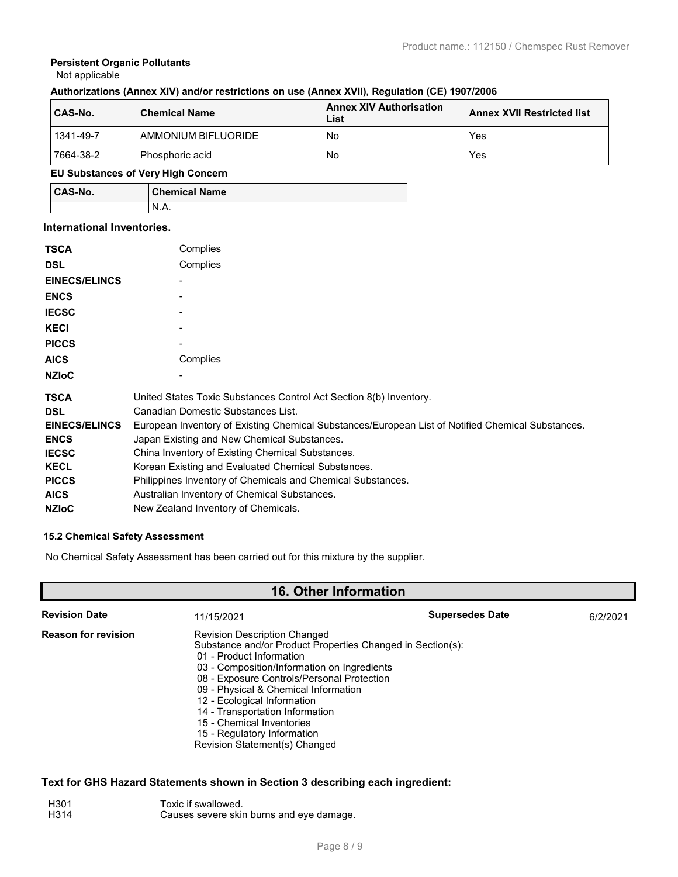#### **Persistent Organic Pollutants** Not applicable

# **Authorizations (Annex XIV) and/or restrictions on use (Annex XVII), Regulation (CE) 1907/2006**

| CAS-No.              | <b>Chemical Name</b> | <b>Annex XIV Authorisation</b><br>List | <b>Annex XVII Restricted list</b> |
|----------------------|----------------------|----------------------------------------|-----------------------------------|
| 1341-49-7            | AMMONIUM BIFLUORIDE  | No                                     | Yes                               |
| 7664-38-2            | Phosphoric acid      | No                                     | Yes                               |
| ______<br>--- --- -- |                      |                                        |                                   |

#### **EU Substances of Very High Concern**

| CAS-No. | <b>Chemical Name</b> |
|---------|----------------------|
|         | N                    |

#### **International Inventories.**

| <b>TSCA</b>          | Complies                                                                                          |
|----------------------|---------------------------------------------------------------------------------------------------|
| <b>DSL</b>           | Complies                                                                                          |
| <b>EINECS/ELINCS</b> |                                                                                                   |
| <b>ENCS</b>          |                                                                                                   |
| <b>IECSC</b>         |                                                                                                   |
| <b>KECI</b>          |                                                                                                   |
| <b>PICCS</b>         |                                                                                                   |
| <b>AICS</b>          | Complies                                                                                          |
| <b>NZIoC</b>         |                                                                                                   |
| <b>TSCA</b>          | United States Toxic Substances Control Act Section 8(b) Inventory.                                |
| <b>DSL</b>           | Canadian Domestic Substances List.                                                                |
| <b>EINECS/ELINCS</b> | European Inventory of Existing Chemical Substances/European List of Notified Chemical Substances. |
| <b>ENCS</b>          | Japan Existing and New Chemical Substances.                                                       |
| <b>IECSC</b>         | China Inventory of Existing Chemical Substances.                                                  |
| <b>KECL</b>          | Korean Existing and Evaluated Chemical Substances.                                                |
| <b>PICCS</b>         | Philippines Inventory of Chemicals and Chemical Substances.                                       |
| <b>AICS</b>          | Australian Inventory of Chemical Substances.                                                      |
| <b>NZIOC</b>         | New Zealand Inventory of Chemicals.                                                               |

#### **15.2 Chemical Safety Assessment**

No Chemical Safety Assessment has been carried out for this mixture by the supplier.

# **16. Other Information**

| <b>Revision Date</b>       | 11/15/2021                                                                                                                                                                                                                                                                                                                                                                                                                        | <b>Supersedes Date</b> | 6/2/2021 |
|----------------------------|-----------------------------------------------------------------------------------------------------------------------------------------------------------------------------------------------------------------------------------------------------------------------------------------------------------------------------------------------------------------------------------------------------------------------------------|------------------------|----------|
| <b>Reason for revision</b> | <b>Revision Description Changed</b><br>Substance and/or Product Properties Changed in Section(s):<br>01 - Product Information<br>03 - Composition/Information on Ingredients<br>08 - Exposure Controls/Personal Protection<br>09 - Physical & Chemical Information<br>12 - Ecological Information<br>14 - Transportation Information<br>15 - Chemical Inventories<br>15 - Regulatory Information<br>Revision Statement(s) Changed |                        |          |

### **Text for GHS Hazard Statements shown in Section 3 describing each ingredient:**

| H301 | Toxic if swallowed.                      |
|------|------------------------------------------|
| H314 | Causes severe skin burns and eye damage. |